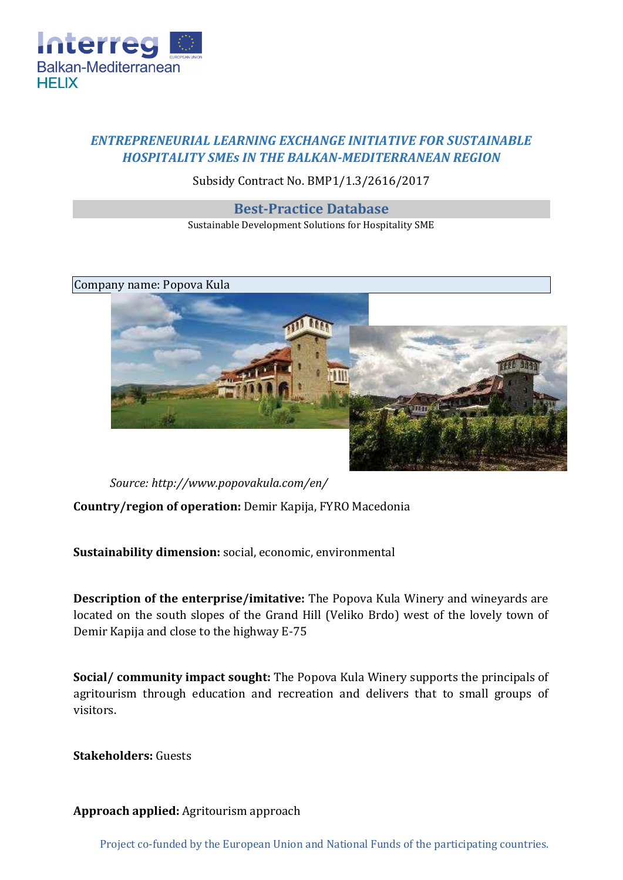

## *ENTREPRENEURIAL LEARNING EXCHANGE INITIATIVE FOR SUSTAINABLE HOSPITALITY SMEs IN THE BALKAN-MEDITERRANEAN REGION*

## Subsidy Contract No. BMP1/1.3/2616/2017

## **Best-Practice Database**

Sustainable Development Solutions for Hospitality SME



*Source[: http://www.popovakula.com/en/](http://www.popovakula.com/en/)*

**Country/region of operation:** Demir Kapija, FYRO Macedonia

**Sustainability dimension:** social, economic, environmental

**Description of the enterprise/imitative:** The Popova Kula Winery and wineyards are located on the south slopes of the Grand Hill (Veliko Brdo) west of the lovely town of Demir Kapija and close to the highway E-75

**Social/ community impact sought:** The Popova Kula Winery supports the principals of agritourism through education and recreation and delivers that to small groups of visitors.

**Stakeholders:** Guests

**Approach applied:** Agritourism approach

Project co-funded by the European Union and National Funds of the participating countries.